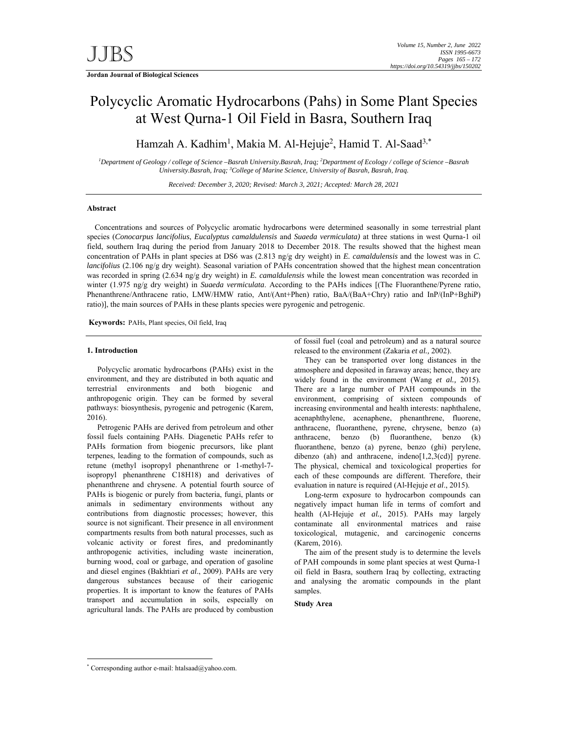# Polycyclic Aromatic Hydrocarbons (Pahs) in Some Plant Species at West Qurna-1 Oil Field in Basra, Southern Iraq

Hamzah A. Kadhim<sup>1</sup>, Makia M. Al-Hejuje<sup>2</sup>, Hamid T. Al-Saad<sup>3,\*</sup>

*1 Department of Geology / college of Science –Basrah University.Basrah, Iraq; 2 Department of Ecology / college of Science –Basrah University.Basrah, Iraq; 3 College of Marine Science, University of Basrah, Basrah, Iraq.* 

*Received: December 3, 2020; Revised: March 3, 2021; Accepted: March 28, 2021*

### **Abstract**

 Concentrations and sources of Polycyclic aromatic hydrocarbons were determined seasonally in some terrestrial plant species (*Conocarpus lancifolius*, *Eucalyptus camaldulensis* and *Suaeda vermiculata)* at three stations in west Qurna-1 oil field, southern Iraq during the period from January 2018 to December 2018. The results showed that the highest mean concentration of PAHs in plant species at DS6 was (2.813 ng/g dry weight) in *E. camaldulensis* and the lowest was in *C. lancifolius* (2.106 ng/g dry weight). Seasonal variation of PAHs concentration showed that the highest mean concentration was recorded in spring (2.634 ng/g dry weight) in *E. camaldulensis* while the lowest mean concentration was recorded in winter (1.975 ng/g dry weight) in *Suaeda vermiculata*. According to the PAHs indices [(The Fluoranthene/Pyrene ratio, Phenanthrene/Anthracene ratio, LMW/HMW ratio, Ant/(Ant+Phen) ratio, BaA/(BaA+Chry) ratio and InP/(InP+BghiP) ratio)], the main sources of PAHs in these plants species were pyrogenic and petrogenic.

**Keywords:** PAHs, Plant species, Oil field, Iraq

#### **1. Introduction**

Polycyclic aromatic hydrocarbons (PAHs) exist in the environment, and they are distributed in both aquatic and terrestrial environments and both biogenic and anthropogenic origin. They can be formed by several pathways: biosynthesis, pyrogenic and petrogenic (Karem, 2016).

Petrogenic PAHs are derived from petroleum and other fossil fuels containing PAHs. Diagenetic PAHs refer to PAHs formation from biogenic precursors, like plant terpenes, leading to the formation of compounds, such as retune (methyl isopropyl phenanthrene or 1-methyl-7 isopropyl phenanthrene C18H18) and derivatives of phenanthrene and chrysene. A potential fourth source of PAHs is biogenic or purely from bacteria, fungi, plants or animals in sedimentary environments without any contributions from diagnostic processes; however, this source is not significant. Their presence in all environment compartments results from both natural processes, such as volcanic activity or forest fires, and predominantly anthropogenic activities, including waste incineration, burning wood, coal or garbage, and operation of gasoline and diesel engines (Bakhtiari *et al*., 2009). PAHs are very dangerous substances because of their cariogenic properties. It is important to know the features of PAHs transport and accumulation in soils, especially on agricultural lands. The PAHs are produced by combustion

of fossil fuel (coal and petroleum) and as a natural source released to the environment (Zakaria *et al.,* 2002).

They can be transported over long distances in the atmosphere and deposited in faraway areas; hence, they are widely found in the environment (Wang *et al.,* 2015). There are a large number of PAH compounds in the environment, comprising of sixteen compounds of increasing environmental and health interests: naphthalene, acenaphthylene, acenaphene, phenanthrene, fluorene, anthracene, fluoranthene, pyrene, chrysene, benzo (a) anthracene, benzo (b) fluoranthene, benzo (k) fluoranthene, benzo (a) pyrene, benzo (ghi) perylene, dibenzo (ah) and anthracene, indeno[1,2,3(cd)] pyrene. The physical, chemical and toxicological properties for each of these compounds are different. Therefore, their evaluation in nature is required (Al-Hejuje *et al*., 2015).

Long-term exposure to hydrocarbon compounds can negatively impact human life in terms of comfort and health (Al-Hejuje *et al.,* 2015). PAHs may largely contaminate all environmental matrices and raise toxicological, mutagenic, and carcinogenic concerns (Karem, 2016).

The aim of the present study is to determine the levels of PAH compounds in some plant species at west Qurna-1 oil field in Basra, southern Iraq by collecting, extracting and analysing the aromatic compounds in the plant samples.

**Study Area** 

-

<sup>\*</sup> Corresponding author e-mail: htalsaad@yahoo.com.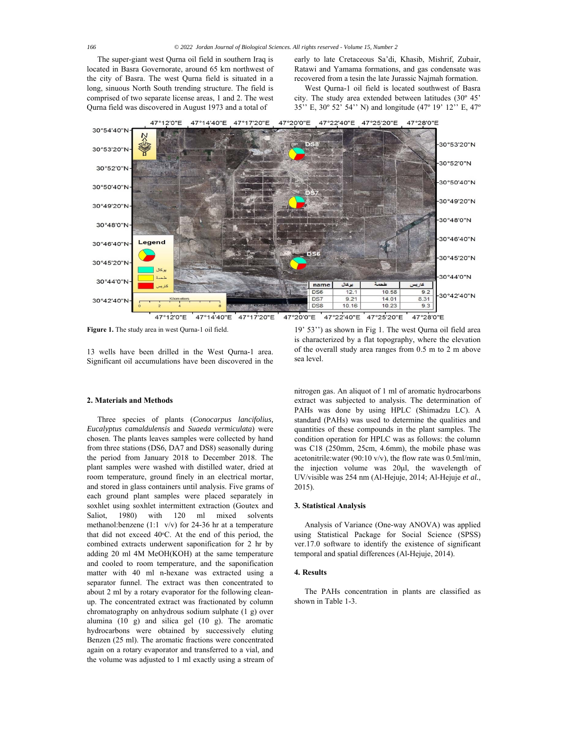The super-giant west Qurna oil field in southern Iraq is located in Basra Governorate, around 65 km northwest of the city of Basra. The west Qurna field is situated in a long, sinuous North South trending structure. The field is comprised of two separate license areas, 1 and 2. The west Qurna field was discovered in August 1973 and a total of

early to late Cretaceous Sa'di, Khasib, Mishrif, Zubair, Ratawi and Yamama formations, and gas condensate was recovered from a tesin the late Jurassic Najmah formation.

West Qurna-1 oil field is located southwest of Basra city. The study area extended between latitudes (30º 45' 35'' E, 30º 52' 54'' N) and longitude (47º 19' 12'' E, 47º



**Figure 1.** The study area in west Qurna-1 oil field.

13 wells have been drilled in the West Qurna-1 area. Significant oil accumulations have been discovered in the

#### **2. Materials and Methods**

Three species of plants (*Conocarpus lancifolius, Eucalyptus camaldulensis* and *Suaeda vermiculata*) were chosen. The plants leaves samples were collected by hand from three stations (DS6, DA7 and DS8) seasonally during the period from January 2018 to December 2018. The plant samples were washed with distilled water, dried at room temperature, ground finely in an electrical mortar, and stored in glass containers until analysis. Five grams of each ground plant samples were placed separately in soxhlet using soxhlet intermittent extraction (Goutex and Saliot, 1980) with 120 ml mixed solvents methanol: benzene  $(1:1 \text{ v/v})$  for 24-36 hr at a temperature that did not exceed  $40^{\circ}$ C. At the end of this period, the combined extracts underwent saponification for 2 hr by adding 20 ml 4M MeOH(KOH) at the same temperature and cooled to room temperature, and the saponification matter with 40 ml n-hexane was extracted using a separator funnel. The extract was then concentrated to about 2 ml by a rotary evaporator for the following cleanup. The concentrated extract was fractionated by column chromatography on anhydrous sodium sulphate (1 g) over alumina (10 g) and silica gel (10 g). The aromatic hydrocarbons were obtained by successively eluting Benzen (25 ml). The aromatic fractions were concentrated again on a rotary evaporator and transferred to a vial, and the volume was adjusted to 1 ml exactly using a stream of

19' 53'') as shown in Fig 1. The west Qurna oil field area is characterized by a flat topography, where the elevation of the overall study area ranges from 0.5 m to 2 m above sea level.

nitrogen gas. An aliquot of 1 ml of aromatic hydrocarbons extract was subjected to analysis. The determination of PAHs was done by using HPLC (Shimadzu LC). A standard (PAHs) was used to determine the qualities and quantities of these compounds in the plant samples. The condition operation for HPLC was as follows: the column was C18 (250mm, 25cm, 4.6mm), the mobile phase was acetonitrile:water (90:10 v/v), the flow rate was 0.5ml/min, the injection volume was 20μl, the wavelength of UV/visible was 254 nm (Al-Hejuje, 2014; Al-Hejuje *et al.*, 2015).

#### **3. Statistical Analysis**

Analysis of Variance (One-way ANOVA) was applied using Statistical Package for Social Science (SPSS) ver.17.0 software to identify the existence of significant temporal and spatial differences (Al-Hejuje, 2014).

#### **4. Results**

The PAHs concentration in plants are classified as shown in Table 1-3.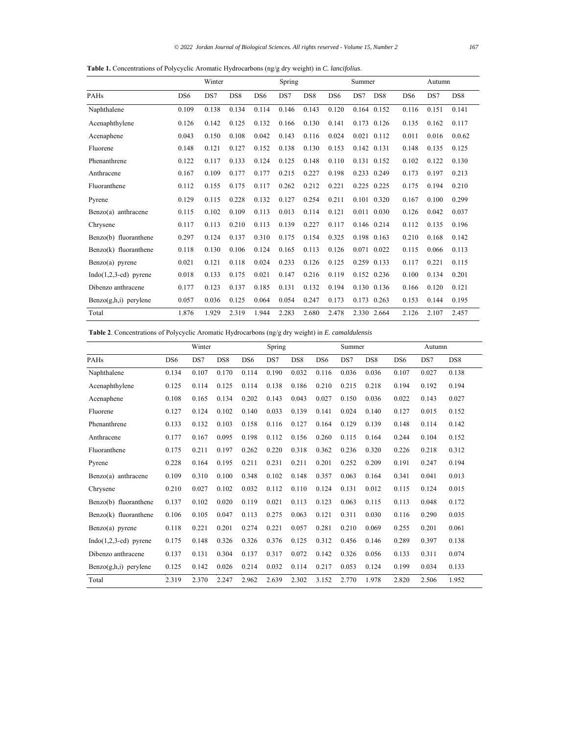**Table 1.** Concentrations of Polycyclic Aromatic Hydrocarbons (ng/g dry weight) in *C. lancifolius*.

|                         |                 | Winter |                 |                 | Spring |                 |                 | Summer      |                 |                 | Autumn |                 |
|-------------------------|-----------------|--------|-----------------|-----------------|--------|-----------------|-----------------|-------------|-----------------|-----------------|--------|-----------------|
| PAHs                    | DS <sub>6</sub> | DS7    | DS <sub>8</sub> | DS <sub>6</sub> | DS7    | DS <sub>8</sub> | DS <sub>6</sub> | DS7         | DS <sub>8</sub> | DS <sub>6</sub> | DS7    | DS <sub>8</sub> |
| Naphthalene             | 0.109           | 0.138  | 0.134           | 0.114           | 0.146  | 0.143           | 0.120           |             | 0.164 0.152     | 0.116           | 0.151  | 0.141           |
| Acenaphthylene          | 0.126           | 0.142  | 0.125           | 0.132           | 0.166  | 0.130           | 0.141           | 0.173       | 0.126           | 0.135           | 0.162  | 0.117           |
| Acenaphene              | 0.043           | 0.150  | 0.108           | 0.042           | 0.143  | 0.116           | 0.024           | 0.021       | 0.112           | 0.011           | 0.016  | 0.0.62          |
| Fluorene                | 0.148           | 0.121  | 0.127           | 0.152           | 0.138  | 0.130           | 0.153           | 0.142       | 0.131           | 0.148           | 0.135  | 0.125           |
| Phenanthrene            | 0.122           | 0.117  | 0.133           | 0.124           | 0.125  | 0.148           | 0.110           | 0.131       | 0.152           | 0.102           | 0.122  | 0.130           |
| Anthracene              | 0.167           | 0.109  | 0.177           | 0.177           | 0.215  | 0.227           | 0.198           | 0.233       | 0.249           | 0.173           | 0.197  | 0.213           |
| Fluoranthene            | 0.112           | 0.155  | 0.175           | 0.117           | 0.262  | 0.212           | 0.221           | 0.225       | 0.225           | 0.175           | 0.194  | 0.210           |
| Pyrene                  | 0.129           | 0.115  | 0.228           | 0.132           | 0.127  | 0.254           | 0.211           |             | 0.101 0.320     | 0.167           | 0.100  | 0.299           |
| $Benzo(a)$ anthracene   | 0.115           | 0.102  | 0.109           | 0.113           | 0.013  | 0.114           | 0.121           |             | 0.011 0.030     | 0.126           | 0.042  | 0.037           |
| Chrysene                | 0.117           | 0.113  | 0.210           | 0.113           | 0.139  | 0.227           | 0.117           | 0.146 0.214 |                 | 0.112           | 0.135  | 0.196           |
| Benzo(b) fluoranthene   | 0.297           | 0.124  | 0.137           | 0.310           | 0.175  | 0.154           | 0.325           | 0.198 0.163 |                 | 0.210           | 0.168  | 0.142           |
| Benzo(k) fluoranthene   | 0.118           | 0.130  | 0.106           | 0.124           | 0.165  | 0.113           | 0.126           | 0.071       | 0.022           | 0.115           | 0.066  | 0.113           |
| $Benzo(a)$ pyrene       | 0.021           | 0.121  | 0.118           | 0.024           | 0.233  | 0.126           | 0.125           | 0.259       | 0.133           | 0.117           | 0.221  | 0.115           |
| $Indo(1,2,3-cd)$ pyrene | 0.018           | 0.133  | 0.175           | 0.021           | 0.147  | 0.216           | 0.119           | 0.152       | 0.236           | 0.100           | 0.134  | 0.201           |
| Dibenzo anthracene      | 0.177           | 0.123  | 0.137           | 0.185           | 0.131  | 0.132           | 0.194           |             | 0.130 0.136     | 0.166           | 0.120  | 0.121           |
| $Benzo(g,h,i)$ perylene | 0.057           | 0.036  | 0.125           | 0.064           | 0.054  | 0.247           | 0.173           | 0.173       | 0.263           | 0.153           | 0.144  | 0.195           |
| Total                   | 1.876           | 1.929  | 2.319           | 1.944           | 2.283  | 2.680           | 2.478           |             | 2.330 2.664     | 2.126           | 2.107  | 2.457           |

**Table 2**. Concentrations of Polycyclic Aromatic Hydrocarbons (ng/g dry weight) in *E. camaldulensis* 

|                         |                 | Winter |                 |                 | Spring |                 |                 | Summer |                 |                 | Autumn |                 |
|-------------------------|-----------------|--------|-----------------|-----------------|--------|-----------------|-----------------|--------|-----------------|-----------------|--------|-----------------|
| PAHs                    | DS <sub>6</sub> | DS7    | DS <sub>8</sub> | DS <sub>6</sub> | DS7    | DS <sub>8</sub> | DS <sub>6</sub> | DS7    | DS <sub>8</sub> | DS <sub>6</sub> | DS7    | DS <sub>8</sub> |
| Naphthalene             | 0.134           | 0.107  | 0.170           | 0.114           | 0.190  | 0.032           | 0.116           | 0.036  | 0.036           | 0.107           | 0.027  | 0.138           |
| Acenaphthylene          | 0.125           | 0.114  | 0.125           | 0.114           | 0.138  | 0.186           | 0.210           | 0.215  | 0.218           | 0.194           | 0.192  | 0.194           |
| Acenaphene              | 0.108           | 0.165  | 0.134           | 0.202           | 0.143  | 0.043           | 0.027           | 0.150  | 0.036           | 0.022           | 0.143  | 0.027           |
| Fluorene                | 0.127           | 0.124  | 0.102           | 0.140           | 0.033  | 0.139           | 0.141           | 0.024  | 0.140           | 0.127           | 0.015  | 0.152           |
| Phenanthrene            | 0.133           | 0.132  | 0.103           | 0.158           | 0.116  | 0.127           | 0.164           | 0.129  | 0.139           | 0.148           | 0.114  | 0.142           |
| Anthracene              | 0.177           | 0.167  | 0.095           | 0.198           | 0.112  | 0.156           | 0.260           | 0.115  | 0.164           | 0.244           | 0.104  | 0.152           |
| Fluoranthene            | 0.175           | 0.211  | 0.197           | 0.262           | 0.220  | 0.318           | 0.362           | 0.236  | 0.320           | 0.226           | 0.218  | 0.312           |
| Pyrene                  | 0.228           | 0.164  | 0.195           | 0.211           | 0.231  | 0.211           | 0.201           | 0.252  | 0.209           | 0.191           | 0.247  | 0.194           |
| Benzo(a) anthracene     | 0.109           | 0.310  | 0.100           | 0.348           | 0.102  | 0.148           | 0.357           | 0.063  | 0.164           | 0.341           | 0.041  | 0.013           |
| Chrysene                | 0.210           | 0.027  | 0.102           | 0.032           | 0.112  | 0.110           | 0.124           | 0.131  | 0.012           | 0.115           | 0.124  | 0.015           |
| Benzo(b) fluoranthene   | 0.137           | 0.102  | 0.020           | 0.119           | 0.021  | 0.113           | 0.123           | 0.063  | 0.115           | 0.113           | 0.048  | 0.172           |
| Benzo(k) fluoranthene   | 0.106           | 0.105  | 0.047           | 0.113           | 0.275  | 0.063           | 0.121           | 0.311  | 0.030           | 0.116           | 0.290  | 0.035           |
| $Benzo(a)$ pyrene       | 0.118           | 0.221  | 0.201           | 0.274           | 0.221  | 0.057           | 0.281           | 0.210  | 0.069           | 0.255           | 0.201  | 0.061           |
| $Indo(1,2,3-cd)$ pyrene | 0.175           | 0.148  | 0.326           | 0.326           | 0.376  | 0.125           | 0.312           | 0.456  | 0.146           | 0.289           | 0.397  | 0.138           |
| Dibenzo anthracene      | 0.137           | 0.131  | 0.304           | 0.137           | 0.317  | 0.072           | 0.142           | 0.326  | 0.056           | 0.133           | 0.311  | 0.074           |
| $Benzo(g,h,i)$ perylene | 0.125           | 0.142  | 0.026           | 0.214           | 0.032  | 0.114           | 0.217           | 0.053  | 0.124           | 0.199           | 0.034  | 0.133           |
| Total                   | 2.319           | 2.370  | 2.247           | 2.962           | 2.639  | 2.302           | 3.152           | 2.770  | 1.978           | 2.820           | 2.506  | 1.952           |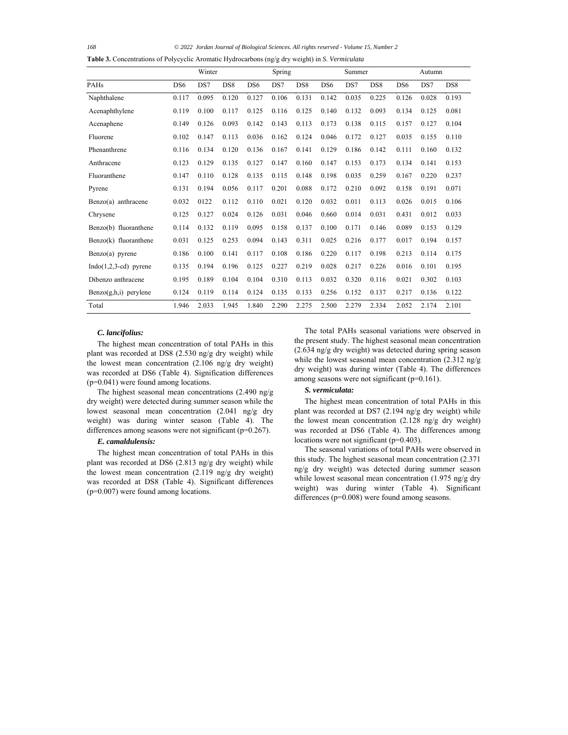*168 © 2022 Jordan Journal of Biological Sciences. All rights reserved - Volume 15, Number 2*

**Table 3.** Concentrations of Polycyclic Aromatic Hydrocarbons (ng/g dry weight) in *S. Vermiculata*

|                         |                 | Winter |                 |                 | Spring |                 |                 | Summer |                 |                 | Autumn |                 |
|-------------------------|-----------------|--------|-----------------|-----------------|--------|-----------------|-----------------|--------|-----------------|-----------------|--------|-----------------|
| PAHs                    | DS <sub>6</sub> | DS7    | DS <sub>8</sub> | DS <sub>6</sub> | DS7    | DS <sub>8</sub> | DS <sub>6</sub> | DS7    | DS <sub>8</sub> | D <sub>S6</sub> | DS7    | DS <sub>8</sub> |
| Naphthalene             | 0.117           | 0.095  | 0.120           | 0.127           | 0.106  | 0.131           | 0.142           | 0.035  | 0.225           | 0.126           | 0.028  | 0.193           |
| Acenaphthylene          | 0.119           | 0.100  | 0.117           | 0.125           | 0.116  | 0.125           | 0.140           | 0.132  | 0.093           | 0.134           | 0.125  | 0.081           |
| Acenaphene              | 0.149           | 0.126  | 0.093           | 0.142           | 0.143  | 0.113           | 0.173           | 0.138  | 0.115           | 0.157           | 0.127  | 0.104           |
| Fluorene                | 0.102           | 0.147  | 0.113           | 0.036           | 0.162  | 0.124           | 0.046           | 0.172  | 0.127           | 0.035           | 0.155  | 0.110           |
| Phenanthrene            | 0.116           | 0.134  | 0.120           | 0.136           | 0.167  | 0.141           | 0.129           | 0.186  | 0.142           | 0.111           | 0.160  | 0.132           |
| Anthracene              | 0.123           | 0.129  | 0.135           | 0.127           | 0.147  | 0.160           | 0.147           | 0.153  | 0.173           | 0.134           | 0.141  | 0.153           |
| Fluoranthene            | 0.147           | 0.110  | 0.128           | 0.135           | 0.115  | 0.148           | 0.198           | 0.035  | 0.259           | 0.167           | 0.220  | 0.237           |
| Pyrene                  | 0.131           | 0.194  | 0.056           | 0.117           | 0.201  | 0.088           | 0.172           | 0.210  | 0.092           | 0.158           | 0.191  | 0.071           |
| Benzo(a) anthracene     | 0.032           | 0122   | 0.112           | 0.110           | 0.021  | 0.120           | 0.032           | 0.011  | 0.113           | 0.026           | 0.015  | 0.106           |
| Chrysene                | 0.125           | 0.127  | 0.024           | 0.126           | 0.031  | 0.046           | 0.660           | 0.014  | 0.031           | 0.431           | 0.012  | 0.033           |
| Benzo(b) fluoranthene   | 0.114           | 0.132  | 0.119           | 0.095           | 0.158  | 0.137           | 0.100           | 0.171  | 0.146           | 0.089           | 0.153  | 0.129           |
| Benzo(k) fluoranthene   | 0.031           | 0.125  | 0.253           | 0.094           | 0.143  | 0.311           | 0.025           | 0.216  | 0.177           | 0.017           | 0.194  | 0.157           |
| $Benzo(a)$ pyrene       | 0.186           | 0.100  | 0.141           | 0.117           | 0.108  | 0.186           | 0.220           | 0.117  | 0.198           | 0.213           | 0.114  | 0.175           |
| $Indo(1,2,3-cd)$ pyrene | 0.135           | 0.194  | 0.196           | 0.125           | 0.227  | 0.219           | 0.028           | 0.217  | 0.226           | 0.016           | 0.101  | 0.195           |
| Dibenzo anthracene      | 0.195           | 0.189  | 0.104           | 0.104           | 0.310  | 0.113           | 0.032           | 0.320  | 0.116           | 0.021           | 0.302  | 0.103           |
| Benzo(g,h,i) perylene   | 0.124           | 0.119  | 0.114           | 0.124           | 0.135  | 0.133           | 0.256           | 0.152  | 0.137           | 0.217           | 0.136  | 0.122           |
| Total                   | 1.946           | 2.033  | 1.945           | 1.840           | 2.290  | 2.275           | 2.500           | 2.279  | 2.334           | 2.052           | 2.174  | 2.101           |

#### *C. lancifolius:*

The highest mean concentration of total PAHs in this plant was recorded at DS8 (2.530 ng/g dry weight) while the lowest mean concentration (2.106 ng/g dry weight) was recorded at DS6 (Table 4). Signification differences (p=0.041) were found among locations.

The highest seasonal mean concentrations (2.490 ng/g dry weight) were detected during summer season while the lowest seasonal mean concentration (2.041 ng/g dry weight) was during winter season (Table 4). The differences among seasons were not significant (p=0.267).

## *E. camaldulensis:*

The highest mean concentration of total PAHs in this plant was recorded at DS6 (2.813 ng/g dry weight) while the lowest mean concentration (2.119 ng/g dry weight) was recorded at DS8 (Table 4). Significant differences  $(p=0.007)$  were found among locations.

The total PAHs seasonal variations were observed in the present study. The highest seasonal mean concentration (2.634 ng/g dry weight) was detected during spring season while the lowest seasonal mean concentration (2.312 ng/g) dry weight) was during winter (Table 4). The differences among seasons were not significant (p=0.161).

## *S. vermiculata:*

The highest mean concentration of total PAHs in this plant was recorded at DS7 (2.194 ng/g dry weight) while the lowest mean concentration (2.128 ng/g dry weight) was recorded at DS6 (Table 4). The differences among locations were not significant (p=0.403).

The seasonal variations of total PAHs were observed in this study. The highest seasonal mean concentration (2.371 ng/g dry weight) was detected during summer season while lowest seasonal mean concentration (1.975 ng/g dry weight) was during winter (Table 4). Significant differences (p=0.008) were found among seasons.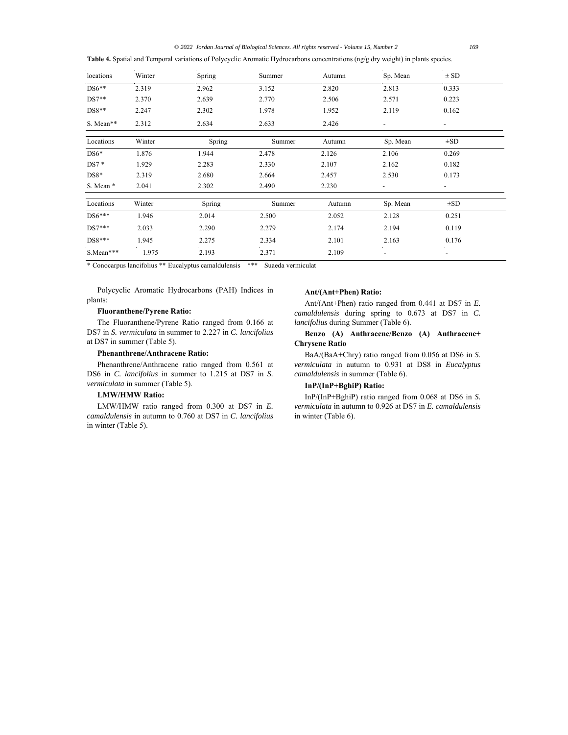*© 2022 Jordan Journal of Biological Sciences. All rights reserved - Volume 15, Number 2 169*

**Table 4.** Spatial and Temporal variations of Polycyclic Aromatic Hydrocarbons concentrations (ng/g dry weight) in plants species.

| locations | Winter | Spring | Summer | Autumn | Sp. Mean                 | $\pm$ SD                 |
|-----------|--------|--------|--------|--------|--------------------------|--------------------------|
| $DS6**$   | 2.319  | 2.962  | 3.152  | 2.820  | 2.813                    | 0.333                    |
| $DS7**$   | 2.370  | 2.639  | 2.770  | 2.506  | 2.571                    | 0.223                    |
| $DS8**$   | 2.247  | 2.302  | 1.978  | 1.952  | 2.119                    | 0.162                    |
| S. Mean** | 2.312  | 2.634  | 2.633  | 2.426  | $\overline{\phantom{a}}$ | $\overline{\phantom{a}}$ |
| Locations | Winter | Spring | Summer | Autumn | Sp. Mean                 | $\pm SD$                 |
| $DS6*$    | 1.876  | 1.944  | 2.478  | 2.126  | 2.106                    | 0.269                    |
| $DS7*$    | 1.929  | 2.283  | 2.330  | 2.107  | 2.162                    | 0.182                    |
| $DS8*$    | 2.319  | 2.680  | 2.664  | 2.457  | 2.530                    | 0.173                    |
| S. Mean * | 2.041  | 2.302  | 2.490  | 2.230  | $\overline{\phantom{0}}$ | $\overline{\phantom{0}}$ |
| Locations | Winter | Spring | Summer | Autumn | Sp. Mean                 | $\pm SD$                 |
| $DS6***$  | 1.946  | 2.014  | 2.500  | 2.052  | 2.128                    | 0.251                    |
| $DS7***$  | 2.033  | 2.290  | 2.279  | 2.174  | 2.194                    | 0.119                    |
| $DS8***$  | 1.945  | 2.275  | 2.334  | 2.101  | 2.163                    | 0.176                    |
| S.Mean*** | 1.975  | 2.193  | 2.371  | 2.109  | $\overline{\phantom{a}}$ | $\overline{\phantom{a}}$ |

\* Conocarpus lancifolius \*\* Eucalyptus camaldulensis \*\*\* Suaeda vermiculat

Polycyclic Aromatic Hydrocarbons (PAH) Indices in plants:

## **Fluoranthene/Pyrene Ratio:**

The Fluoranthene/Pyrene Ratio ranged from 0.166 at DS7 in *S. vermiculata* in summer to 2.227 in *C. lancifolius* at DS7 in summer (Table 5).

## **Phenanthrene/Anthracene Ratio:**

Phenanthrene/Anthracene ratio ranged from 0.561 at DS6 in *C. lancifolius* in summer to 1.215 at DS7 in *S. vermiculata* in summer (Table 5).

# **LMW/HMW Ratio:**

LMW/HMW ratio ranged from 0.300 at DS7 in *E. camaldulensis* in autumn to 0.760 at DS7 in *C. lancifolius* in winter (Table 5).

## **Ant/(Ant+Phen) Ratio:**

Ant/(Ant+Phen) ratio ranged from 0.441 at DS7 in *E. camaldulensis* during spring to 0.673 at DS7 in *C. lancifolius* during Summer (Table 6).

# **Benzo (A) Anthracene/Benzo (A) Anthracene+ Chrysene Ratio**

BaA/(BaA+Chry) ratio ranged from 0.056 at DS6 in *S. vermiculata* in autumn to 0.931 at DS8 in *Eucalyptus camaldulensis* in summer (Table 6).

## **InP/(InP+BghiP) Ratio:**

InP/(InP+BghiP) ratio ranged from 0.068 at DS6 in *S. vermiculata* in autumn to 0.926 at DS7 in *E. camaldulensis*  in winter (Table 6).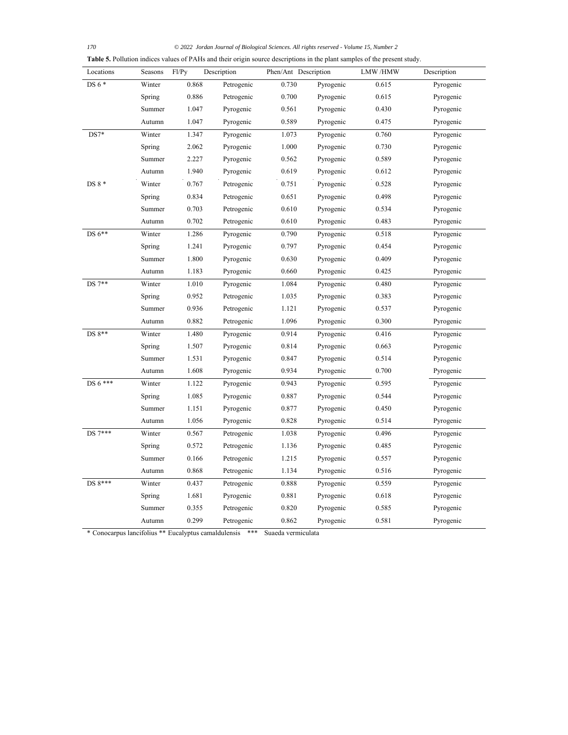*170 © 2022 Jordan Journal of Biological Sciences. All rights reserved - Volume 15, Number 2*

| Locations | Seasons | Fl/Py | Description | Phen/Ant Description |           | LMW /HMW | Description |
|-----------|---------|-------|-------------|----------------------|-----------|----------|-------------|
| DS 6 *    | Winter  | 0.868 | Petrogenic  | 0.730                | Pyrogenic | 0.615    | Pyrogenic   |
|           | Spring  | 0.886 | Petrogenic  | 0.700                | Pyrogenic | 0.615    | Pyrogenic   |
|           | Summer  | 1.047 | Pyrogenic   | 0.561                | Pyrogenic | 0.430    | Pyrogenic   |
|           | Autumn  | 1.047 | Pyrogenic   | 0.589                | Pyrogenic | 0.475    | Pyrogenic   |
| $DS7*$    | Winter  | 1.347 | Pyrogenic   | 1.073                | Pyrogenic | 0.760    | Pyrogenic   |
|           | Spring  | 2.062 | Pyrogenic   | 1.000                | Pyrogenic | 0.730    | Pyrogenic   |
|           | Summer  | 2.227 | Pyrogenic   | 0.562                | Pyrogenic | 0.589    | Pyrogenic   |
|           | Autumn  | 1.940 | Pyrogenic   | 0.619                | Pyrogenic | 0.612    | Pyrogenic   |
| DS 8 *    | Winter  | 0.767 | Petrogenic  | 0.751                | Pyrogenic | 0.528    | Pyrogenic   |
|           | Spring  | 0.834 | Petrogenic  | 0.651                | Pyrogenic | 0.498    | Pyrogenic   |
|           | Summer  | 0.703 | Petrogenic  | 0.610                | Pyrogenic | 0.534    | Pyrogenic   |
|           | Autumn  | 0.702 | Petrogenic  | 0.610                | Pyrogenic | 0.483    | Pyrogenic   |
| DS 6**    | Winter  | 1.286 | Pyrogenic   | 0.790                | Pyrogenic | 0.518    | Pyrogenic   |
|           | Spring  | 1.241 | Pyrogenic   | 0.797                | Pyrogenic | 0.454    | Pyrogenic   |
|           | Summer  | 1.800 | Pyrogenic   | 0.630                | Pyrogenic | 0.409    | Pyrogenic   |
|           | Autumn  | 1.183 | Pyrogenic   | 0.660                | Pyrogenic | 0.425    | Pyrogenic   |
| DS 7**    | Winter  | 1.010 | Pyrogenic   | 1.084                | Pyrogenic | 0.480    | Pyrogenic   |
|           | Spring  | 0.952 | Petrogenic  | 1.035                | Pyrogenic | 0.383    | Pyrogenic   |
|           | Summer  | 0.936 | Petrogenic  | 1.121                | Pyrogenic | 0.537    | Pyrogenic   |
|           | Autumn  | 0.882 | Petrogenic  | 1.096                | Pyrogenic | 0.300    | Pyrogenic   |
| DS 8**    | Winter  | 1.480 | Pyrogenic   | 0.914                | Pyrogenic | 0.416    | Pyrogenic   |
|           | Spring  | 1.507 | Pyrogenic   | 0.814                | Pyrogenic | 0.663    | Pyrogenic   |
|           | Summer  | 1.531 | Pyrogenic   | 0.847                | Pyrogenic | 0.514    | Pyrogenic   |
|           | Autumn  | 1.608 | Pyrogenic   | 0.934                | Pyrogenic | 0.700    | Pyrogenic   |
| DS 6 ***  | Winter  | 1.122 | Pyrogenic   | 0.943                | Pyrogenic | 0.595    | Pyrogenic   |
|           | Spring  | 1.085 | Pyrogenic   | 0.887                | Pyrogenic | 0.544    | Pyrogenic   |
|           | Summer  | 1.151 | Pyrogenic   | 0.877                | Pyrogenic | 0.450    | Pyrogenic   |
|           | Autumn  | 1.056 | Pyrogenic   | 0.828                | Pyrogenic | 0.514    | Pyrogenic   |
| DS 7***   | Winter  | 0.567 | Petrogenic  | 1.038                | Pyrogenic | 0.496    | Pyrogenic   |
|           | Spring  | 0.572 | Petrogenic  | 1.136                | Pyrogenic | 0.485    | Pyrogenic   |
|           | Summer  | 0.166 | Petrogenic  | 1.215                | Pyrogenic | 0.557    | Pyrogenic   |
|           | Autumn  | 0.868 | Petrogenic  | 1.134                | Pyrogenic | 0.516    | Pyrogenic   |
| DS 8***   | Winter  | 0.437 | Petrogenic  | 0.888                | Pyrogenic | 0.559    | Pyrogenic   |
|           | Spring  | 1.681 | Pyrogenic   | 0.881                | Pyrogenic | 0.618    | Pyrogenic   |
|           | Summer  | 0.355 | Petrogenic  | 0.820                | Pyrogenic | 0.585    | Pyrogenic   |
|           | Autumn  | 0.299 | Petrogenic  | 0.862                | Pyrogenic | 0.581    | Pyrogenic   |

\* Conocarpus lancifolius \*\* Eucalyptus camaldulensis \*\*\* Suaeda vermiculata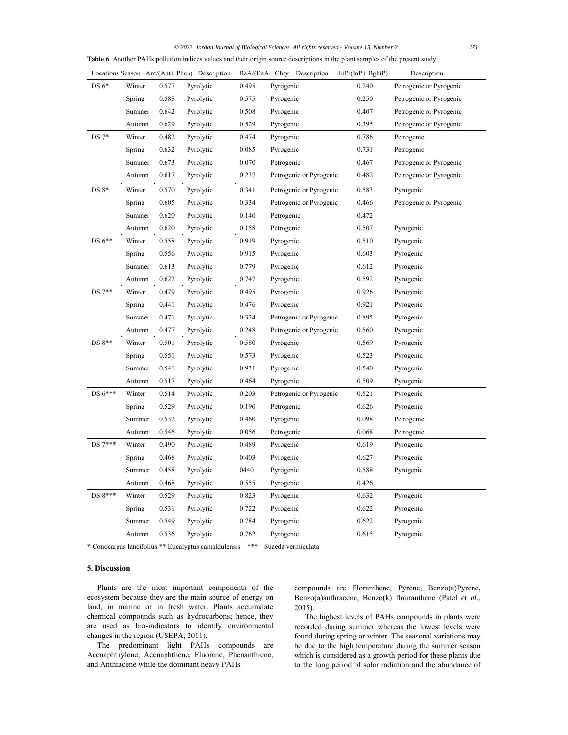| © 2022 Jordan Journal of Biological Sciences, All rights reserved - Volume 15, Number 2 | 171 |
|-----------------------------------------------------------------------------------------|-----|
|-----------------------------------------------------------------------------------------|-----|

| Table 6. Another PAHs pollution indices values and their origin source descriptions in the plant samples of the present study. |        |       |                                              |       |                            |                   |                         |  |
|--------------------------------------------------------------------------------------------------------------------------------|--------|-------|----------------------------------------------|-------|----------------------------|-------------------|-------------------------|--|
|                                                                                                                                |        |       | Locations Season Ant/(Ant+ Phen) Description |       | BaA/(BaA+ Chry Description | $InP/(InP+BghiP)$ | Description             |  |
| DS $6*$                                                                                                                        | Winter | 0.577 | Pyrolytic                                    | 0.495 | Pyrogenic                  | 0.240             | Petrogenic or Pyrogenic |  |
|                                                                                                                                | Spring | 0.588 | Pyrolytic                                    | 0.575 | Pyrogenic                  | 0.250             | Petrogenic or Pyrogenic |  |
|                                                                                                                                | Summer | 0.642 | Pyrolytic                                    | 0.508 | Pyrogenic                  | 0.407             | Petrogenic or Pyrogenic |  |
|                                                                                                                                | Autumn | 0.629 | Pyrolytic                                    | 0.529 | Pyrogenic                  | 0.395             | Petrogenic or Pyrogenic |  |
| $DS 7*$                                                                                                                        | Winter | 0.482 | Pyrolytic                                    | 0.474 | Pyrogenic                  | 0.786             | Petrogenic              |  |
|                                                                                                                                | Spring | 0.632 | Pyrolytic                                    | 0.085 | Pyrogenic                  | 0.731             | Petrogenic              |  |
|                                                                                                                                | Summer | 0.673 | Pyrolytic                                    | 0.070 | Petrogenic                 | 0.467             | Petrogenic or Pyrogenic |  |
|                                                                                                                                | Autumn | 0.617 | Pyrolytic                                    | 0.237 | Petrogenic or Pyrogenic    | 0.482             | Petrogenic or Pyrogenic |  |
| $DS 8*$                                                                                                                        | Winter | 0.570 | Pyrolytic                                    | 0.341 | Petrogenic or Pyrogenic    | 0.583             | Pyrogenic               |  |
|                                                                                                                                | Spring | 0.605 | Pyrolytic                                    | 0.334 | Petrogenic or Pyrogenic    | 0.466             | Petrogenic or Pyrogenic |  |
|                                                                                                                                | Summer | 0.620 | Pyrolytic                                    | 0.140 | Petrogenic                 | 0.472             |                         |  |
|                                                                                                                                | Autumn | 0.620 | Pyrolytic                                    | 0.158 | Petrogenic                 | 0.507             | Pyrogenic               |  |
| $DS 6**$                                                                                                                       | Winter | 0.558 | Pyrolytic                                    | 0.919 | Pyrogenic                  | 0.510             | Pyrogenic               |  |
|                                                                                                                                | Spring | 0.556 | Pyrolytic                                    | 0.915 | Pyrogenic                  | 0.603             | Pyrogenic               |  |
|                                                                                                                                | Summer | 0.613 | Pyrolytic                                    | 0.779 | Pyrogenic                  | 0.612             | Pyrogenic               |  |
|                                                                                                                                | Autumn | 0.622 | Pyrolytic                                    | 0.747 | Pyrogenic                  | 0.592             | Pyrogenic               |  |
| $DS 7**$                                                                                                                       | Winter | 0.479 | Pyrolytic                                    | 0.495 | Pyrogenic                  | 0.926             | Pyrogenic               |  |
|                                                                                                                                | Spring | 0.441 | Pyrolytic                                    | 0.476 | Pyrogenic                  | 0.921             | Pyrogenic               |  |
|                                                                                                                                | Summer | 0.471 | Pyrolytic                                    | 0.324 | Petrogenic or Pyrogenic    | 0.895             | Pyrogenic               |  |
|                                                                                                                                | Autumn | 0.477 | Pyrolytic                                    | 0.248 | Petrogenic or Pyrogenic    | 0.560             | Pyrogenic               |  |
| DS 8**                                                                                                                         | Winter | 0.501 | Pyrolytic                                    | 0.580 | Pyrogenic                  | 0.569             | Pyrogenic               |  |
|                                                                                                                                | Spring | 0.551 | Pyrolytic                                    | 0.573 | Pyrogenic                  | 0.523             | Pyrogenic               |  |
|                                                                                                                                | Summer | 0.541 | Pyrolytic                                    | 0.931 | Pyrogenic                  | 0.540             | Pyrogenic               |  |
|                                                                                                                                | Autumn | 0.517 | Pyrolytic                                    | 0.464 | Pyrogenic                  | 0.509             | Pyrogenic               |  |
| DS 6***                                                                                                                        | Winter | 0.514 | Pyrolytic                                    | 0.203 | Petrogenic or Pyrogenic    | 0.521             | Pyrogenic               |  |
|                                                                                                                                | Spring | 0.529 | Pyrolytic                                    | 0.190 | Petrogenic                 | 0.626             | Pyrogenic               |  |
|                                                                                                                                | Summer | 0.532 | Pyrolytic                                    | 0.460 | Pyrogenic                  | 0.098             | Petrogenic              |  |
|                                                                                                                                | Autumn | 0.546 | Pyrolytic                                    | 0.056 | Petrogenic                 | 0.068             | Petrogenic              |  |
| DS 7***                                                                                                                        | Winter | 0.490 | Pyrolytic                                    | 0.489 | Pyrogenic                  | 0.619             | Pyrogenic               |  |
|                                                                                                                                | Spring | 0.468 | Pyrolytic                                    | 0.403 | Pyrogenic                  | 0.627             | Pyrogenic               |  |
|                                                                                                                                | Summer | 0.458 | Pyrolytic                                    | 0440  | Pyrogenic                  | 0.588             | Pyrogenic               |  |
|                                                                                                                                | Autumn | 0.468 | Pyrolytic                                    | 0.555 | Pyrogenic                  | 0.426             |                         |  |
| DS 8***                                                                                                                        | Winter | 0.529 | Pyrolytic                                    | 0.823 | Pyrogenic                  | 0.632             | Pyrogenic               |  |
|                                                                                                                                | Spring | 0.531 | Pyrolytic                                    | 0.722 | Pyrogenic                  | 0.622             | Pyrogenic               |  |
|                                                                                                                                | Summer | 0.549 | Pyrolytic                                    | 0.784 | Pyrogenic                  | 0.622             | Pyrogenic               |  |
|                                                                                                                                | Autumn | 0.536 | Pyrolytic                                    | 0.762 | Pyrogenic                  | 0.615             | Pyrogenic               |  |

\* Conocarpus lancifolius \*\* Eucalyptus camaldulensis \*\*\* Suaeda vermiculata

## **5. Discussion**

Plants are the most important components of the ecosystem because they are the main source of energy on land, in marine or in fresh water. Plants accumulate chemical compounds such as hydrocarbons; hence, they are used as bio-indicators to identify environmental changes in the region (USEPA, 2011).

The predominant light PAHs compounds are Acenaphthylene, Acenaphthene, Fluorene, Phenanthrene, and Anthracene while the dominant heavy PAHs

compounds are Floranthene, Pyrene, Benzo(a)Pyrene**,**  Benzo(a)anthracene, Benzo(k) flouranthene (Patel *et al*., 2015).

The highest levels of PAHs compounds in plants were recorded during summer whereas the lowest levels were found during spring or winter. The seasonal variations may be due to the high temperature during the summer season which is considered as a growth period for these plants due to the long period of solar radiation and the abundance of